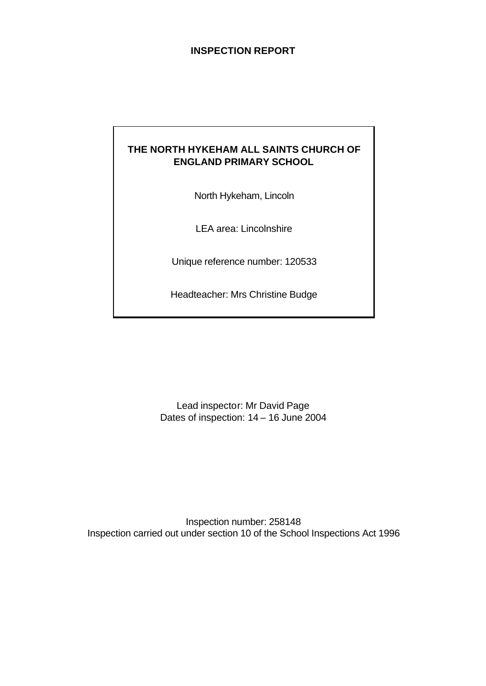## **INSPECTION REPORT**

## **THE NORTH HYKEHAM ALL SAINTS CHURCH OF ENGLAND PRIMARY SCHOOL**

North Hykeham, Lincoln

LEA area: Lincolnshire

Unique reference number: 120533

Headteacher: Mrs Christine Budge

Lead inspector: Mr David Page Dates of inspection: 14 – 16 June 2004

Inspection number: 258148 Inspection carried out under section 10 of the School Inspections Act 1996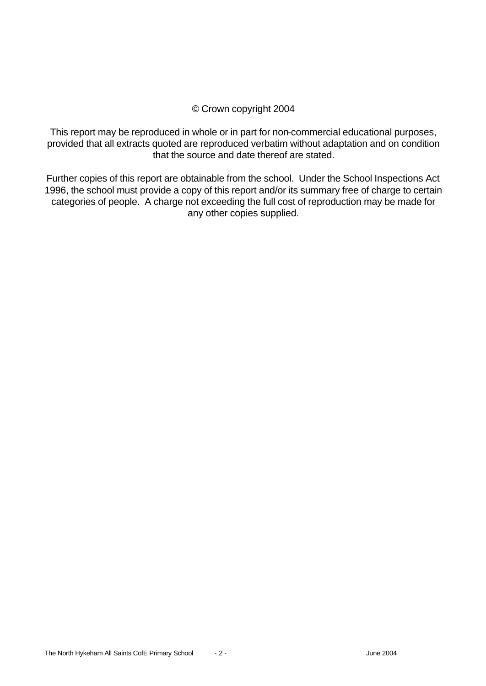## © Crown copyright 2004

This report may be reproduced in whole or in part for non-commercial educational purposes, provided that all extracts quoted are reproduced verbatim without adaptation and on condition that the source and date thereof are stated.

Further copies of this report are obtainable from the school. Under the School Inspections Act 1996, the school must provide a copy of this report and/or its summary free of charge to certain categories of people. A charge not exceeding the full cost of reproduction may be made for any other copies supplied.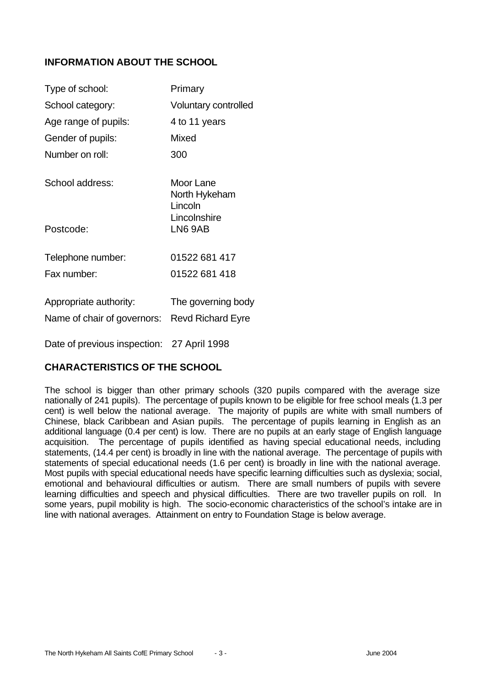## **INFORMATION ABOUT THE SCHOOL**

| Type of school:                                                         | Primary                               |
|-------------------------------------------------------------------------|---------------------------------------|
| School category:                                                        | <b>Voluntary controlled</b>           |
| Age range of pupils:                                                    | 4 to 11 years                         |
| Gender of pupils:                                                       | Mixed                                 |
| Number on roll:                                                         | 300                                   |
| School address:                                                         | Moor Lane<br>North Hykeham<br>Lincoln |
| Postcode:                                                               | Lincolnshire<br>LN6 9AB               |
| Telephone number:                                                       | 01522 681 417                         |
| Fax number:                                                             | 01522 681 418                         |
| Appropriate authority:<br>Name of chair of governors: Revd Richard Eyre | The governing body                    |

Date of previous inspection: 27 April 1998

## **CHARACTERISTICS OF THE SCHOOL**

The school is bigger than other primary schools (320 pupils compared with the average size nationally of 241 pupils). The percentage of pupils known to be eligible for free school meals (1.3 per cent) is well below the national average. The majority of pupils are white with small numbers of Chinese, black Caribbean and Asian pupils. The percentage of pupils learning in English as an additional language (0.4 per cent) is low. There are no pupils at an early stage of English language acquisition. The percentage of pupils identified as having special educational needs, including statements, (14.4 per cent) is broadly in line with the national average. The percentage of pupils with statements of special educational needs (1.6 per cent) is broadly in line with the national average. Most pupils with special educational needs have specific learning difficulties such as dyslexia; social, emotional and behavioural difficulties or autism. There are small numbers of pupils with severe learning difficulties and speech and physical difficulties. There are two traveller pupils on roll. In some years, pupil mobility is high. The socio-economic characteristics of the school's intake are in line with national averages. Attainment on entry to Foundation Stage is below average.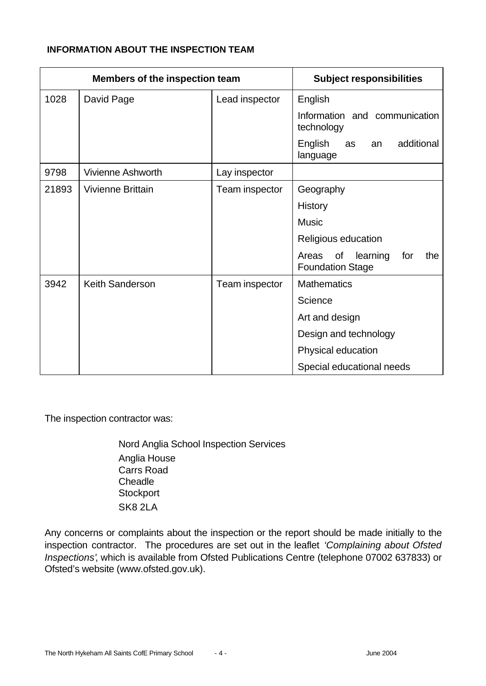### **INFORMATION ABOUT THE INSPECTION TEAM**

| <b>Members of the inspection team</b> |                          | <b>Subject responsibilities</b> |                                                                  |
|---------------------------------------|--------------------------|---------------------------------|------------------------------------------------------------------|
| 1028                                  | David Page               | Lead inspector                  | English                                                          |
|                                       |                          |                                 | Information and communication<br>technology                      |
|                                       |                          |                                 | English<br>additional<br>as<br>an<br>language                    |
| 9798                                  | <b>Vivienne Ashworth</b> | Lay inspector                   |                                                                  |
| 21893                                 | <b>Vivienne Brittain</b> | Team inspector                  | Geography                                                        |
|                                       |                          |                                 | <b>History</b>                                                   |
|                                       |                          |                                 | <b>Music</b>                                                     |
|                                       |                          |                                 | Religious education                                              |
|                                       |                          |                                 | of<br>learning<br>for<br>Areas<br>the<br><b>Foundation Stage</b> |
| 3942                                  | <b>Keith Sanderson</b>   | Team inspector                  | <b>Mathematics</b>                                               |
|                                       |                          |                                 | Science                                                          |
|                                       |                          |                                 | Art and design                                                   |
|                                       |                          |                                 | Design and technology                                            |
|                                       |                          |                                 | Physical education                                               |
|                                       |                          |                                 | Special educational needs                                        |

The inspection contractor was:

Nord Anglia School Inspection Services Anglia House Carrs Road **Cheadle Stockport** SK8 2LA

Any concerns or complaints about the inspection or the report should be made initially to the inspection contractor. The procedures are set out in the leaflet *'Complaining about Ofsted Inspections'*, which is available from Ofsted Publications Centre (telephone 07002 637833) or Ofsted's website (www.ofsted.gov.uk).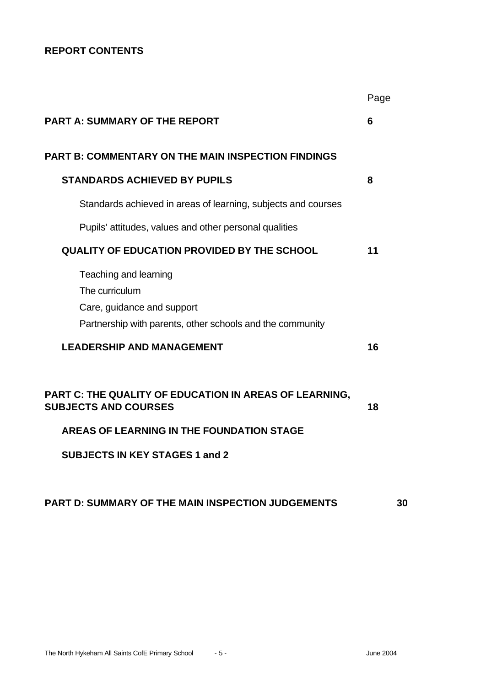# **REPORT CONTENTS**

|                                                                                                                                                                                    | Page |
|------------------------------------------------------------------------------------------------------------------------------------------------------------------------------------|------|
| <b>PART A: SUMMARY OF THE REPORT</b>                                                                                                                                               | 6    |
| <b>PART B: COMMENTARY ON THE MAIN INSPECTION FINDINGS</b>                                                                                                                          |      |
| <b>STANDARDS ACHIEVED BY PUPILS</b>                                                                                                                                                | 8    |
| Standards achieved in areas of learning, subjects and courses                                                                                                                      |      |
| Pupils' attitudes, values and other personal qualities                                                                                                                             |      |
| <b>QUALITY OF EDUCATION PROVIDED BY THE SCHOOL</b>                                                                                                                                 | 11   |
| Teaching and learning<br>The curriculum<br>Care, guidance and support<br>Partnership with parents, other schools and the community                                                 |      |
| <b>LEADERSHIP AND MANAGEMENT</b>                                                                                                                                                   | 16   |
| <b>PART C: THE QUALITY OF EDUCATION IN AREAS OF LEARNING,</b><br><b>SUBJECTS AND COURSES</b><br>AREAS OF LEARNING IN THE FOUNDATION STAGE<br><b>SUBJECTS IN KEY STAGES 1 and 2</b> | 18   |

# **PART D: SUMMARY OF THE MAIN INSPECTION JUDGEMENTS 30**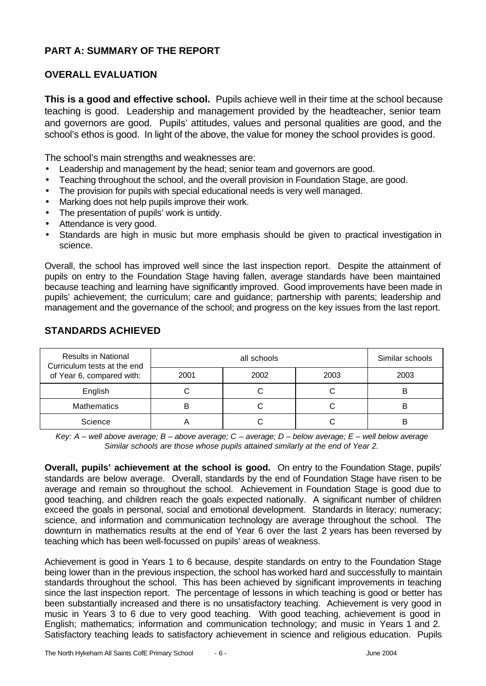## **PART A: SUMMARY OF THE REPORT**

## **OVERALL EVALUATION**

**This is a good and effective school.** Pupils achieve well in their time at the school because teaching is good. Leadership and management provided by the headteacher, senior team and governors are good. Pupils' attitudes, values and personal qualities are good, and the school's ethos is good. In light of the above, the value for money the school provides is good.

The school's main strengths and weaknesses are:

- Leadership and management by the head; senior team and governors are good.
- Teaching throughout the school, and the overall provision in Foundation Stage, are good.
- The provision for pupils with special educational needs is very well managed.
- Marking does not help pupils improve their work.
- The presentation of pupils' work is untidy.
- Attendance is very good.
- Standards are high in music but more emphasis should be given to practical investigation in science.

Overall, the school has improved well since the last inspection report. Despite the attainment of pupils on entry to the Foundation Stage having fallen, average standards have been maintained because teaching and learning have significantly improved. Good improvements have been made in pupils' achievement; the curriculum; care and guidance; partnership with parents; leadership and management and the governance of the school; and progress on the key issues from the last report.

| <b>Results in National</b><br>Curriculum tests at the end |      | Similar schools |      |      |
|-----------------------------------------------------------|------|-----------------|------|------|
| of Year 6, compared with:                                 | 2001 | 2002            | 2003 | 2003 |
| English                                                   |      |                 |      |      |
| <b>Mathematics</b>                                        |      |                 |      | B    |
| Science                                                   |      |                 |      | В    |

### **STANDARDS ACHIEVED**

*Key: A – well above average; B – above average; C – average; D – below average; E – well below average Similar schools are those whose pupils attained similarly at the end of Year 2.*

**Overall, pupils' achievement at the school is good.** On entry to the Foundation Stage, pupils' standards are below average. Overall, standards by the end of Foundation Stage have risen to be average and remain so throughout the school. Achievement in Foundation Stage is good due to good teaching, and children reach the goals expected nationally. A significant number of children exceed the goals in personal, social and emotional development. Standards in literacy; numeracy; science, and information and communication technology are average throughout the school. The downturn in mathematics results at the end of Year 6 over the last 2 years has been reversed by teaching which has been well-focussed on pupils' areas of weakness.

Achievement is good in Years 1 to 6 because, despite standards on entry to the Foundation Stage being lower than in the previous inspection, the school has worked hard and successfully to maintain standards throughout the school. This has been achieved by significant improvements in teaching since the last inspection report. The percentage of lessons in which teaching is good or better has been substantially increased and there is no unsatisfactory teaching. Achievement is very good in music in Years 3 to 6 due to very good teaching. With good teaching, achievement is good in English; mathematics; information and communication technology; and music in Years 1 and 2. Satisfactory teaching leads to satisfactory achievement in science and religious education. Pupils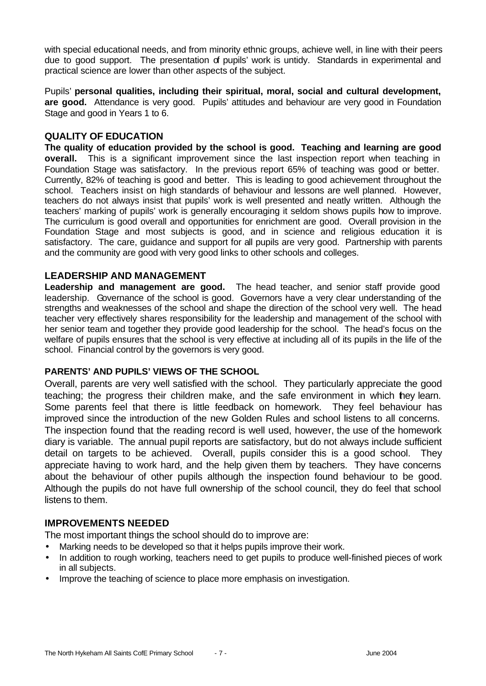with special educational needs, and from minority ethnic groups, achieve well, in line with their peers due to good support. The presentation of pupils' work is untidy. Standards in experimental and practical science are lower than other aspects of the subject.

Pupils' **personal qualities, including their spiritual, moral, social and cultural development, are good.** Attendance is very good. Pupils' attitudes and behaviour are very good in Foundation Stage and good in Years 1 to 6.

#### **QUALITY OF EDUCATION**

**The quality of education provided by the school is good. Teaching and learning are good overall.** This is a significant improvement since the last inspection report when teaching in Foundation Stage was satisfactory. In the previous report 65% of teaching was good or better. Currently, 82% of teaching is good and better. This is leading to good achievement throughout the school. Teachers insist on high standards of behaviour and lessons are well planned. However, teachers do not always insist that pupils' work is well presented and neatly written. Although the teachers' marking of pupils' work is generally encouraging it seldom shows pupils how to improve. The curriculum is good overall and opportunities for enrichment are good. Overall provision in the Foundation Stage and most subjects is good, and in science and religious education it is satisfactory. The care, guidance and support for all pupils are very good. Partnership with parents and the community are good with very good links to other schools and colleges.

#### **LEADERSHIP AND MANAGEMENT**

**Leadership and management are good.** The head teacher, and senior staff provide good leadership. Governance of the school is good. Governors have a very clear understanding of the strengths and weaknesses of the school and shape the direction of the school very well. The head teacher very effectively shares responsibility for the leadership and management of the school with her senior team and together they provide good leadership for the school. The head's focus on the welfare of pupils ensures that the school is very effective at including all of its pupils in the life of the school. Financial control by the governors is very good.

#### **PARENTS' AND PUPILS' VIEWS OF THE SCHOOL**

Overall, parents are very well satisfied with the school. They particularly appreciate the good teaching; the progress their children make, and the safe environment in which they learn. Some parents feel that there is little feedback on homework. They feel behaviour has improved since the introduction of the new Golden Rules and school listens to all concerns. The inspection found that the reading record is well used, however, the use of the homework diary is variable. The annual pupil reports are satisfactory, but do not always include sufficient detail on targets to be achieved. Overall, pupils consider this is a good school. They appreciate having to work hard, and the help given them by teachers. They have concerns about the behaviour of other pupils although the inspection found behaviour to be good. Although the pupils do not have full ownership of the school council, they do feel that school listens to them.

#### **IMPROVEMENTS NEEDED**

The most important things the school should do to improve are:

- Marking needs to be developed so that it helps pupils improve their work.
- In addition to rough working, teachers need to get pupils to produce well-finished pieces of work in all subjects.
- Improve the teaching of science to place more emphasis on investigation.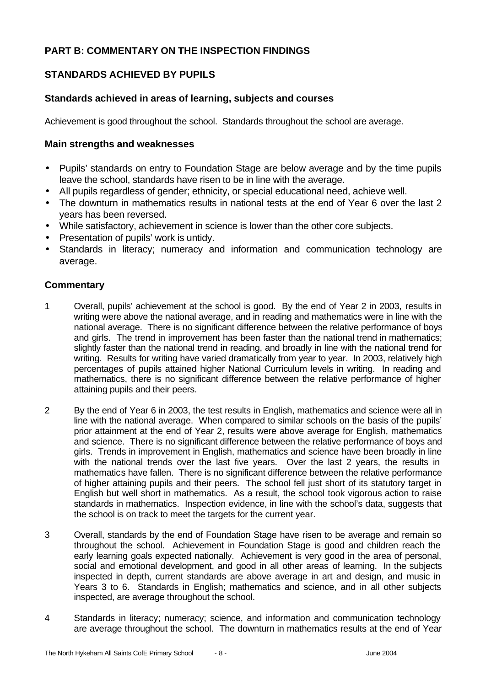## **PART B: COMMENTARY ON THE INSPECTION FINDINGS**

## **STANDARDS ACHIEVED BY PUPILS**

### **Standards achieved in areas of learning, subjects and courses**

Achievement is good throughout the school. Standards throughout the school are average.

#### **Main strengths and weaknesses**

- Pupils' standards on entry to Foundation Stage are below average and by the time pupils leave the school, standards have risen to be in line with the average.
- All pupils regardless of gender; ethnicity, or special educational need, achieve well.
- The downturn in mathematics results in national tests at the end of Year 6 over the last 2 years has been reversed.
- While satisfactory, achievement in science is lower than the other core subjects.
- Presentation of pupils' work is untidy.
- Standards in literacy; numeracy and information and communication technology are average.

- 1 Overall, pupils' achievement at the school is good. By the end of Year 2 in 2003, results in writing were above the national average, and in reading and mathematics were in line with the national average. There is no significant difference between the relative performance of boys and girls. The trend in improvement has been faster than the national trend in mathematics; slightly faster than the national trend in reading, and broadly in line with the national trend for writing. Results for writing have varied dramatically from year to year. In 2003, relatively high percentages of pupils attained higher National Curriculum levels in writing. In reading and mathematics, there is no significant difference between the relative performance of higher attaining pupils and their peers.
- 2 By the end of Year 6 in 2003, the test results in English, mathematics and science were all in line with the national average. When compared to similar schools on the basis of the pupils' prior attainment at the end of Year 2, results were above average for English, mathematics and science. There is no significant difference between the relative performance of boys and girls. Trends in improvement in English, mathematics and science have been broadly in line with the national trends over the last five years. Over the last 2 years, the results in mathematics have fallen. There is no significant difference between the relative performance of higher attaining pupils and their peers. The school fell just short of its statutory target in English but well short in mathematics. As a result, the school took vigorous action to raise standards in mathematics. Inspection evidence, in line with the school's data, suggests that the school is on track to meet the targets for the current year.
- 3 Overall, standards by the end of Foundation Stage have risen to be average and remain so throughout the school. Achievement in Foundation Stage is good and children reach the early learning goals expected nationally. Achievement is very good in the area of personal, social and emotional development, and good in all other areas of learning. In the subjects inspected in depth, current standards are above average in art and design, and music in Years 3 to 6. Standards in English; mathematics and science, and in all other subjects inspected, are average throughout the school.
- 4 Standards in literacy; numeracy; science, and information and communication technology are average throughout the school. The downturn in mathematics results at the end of Year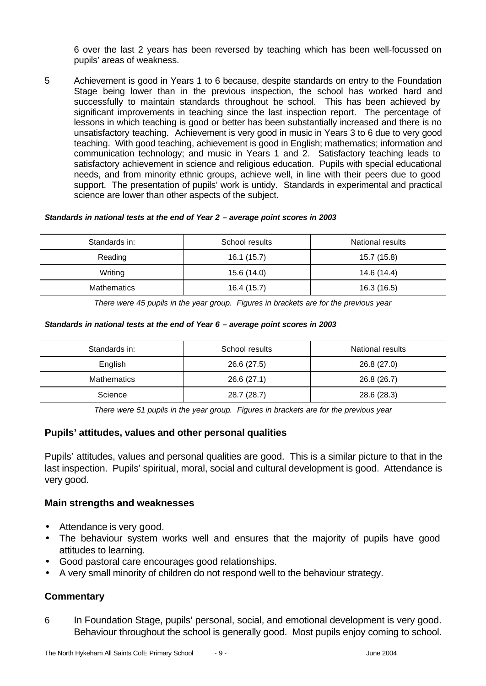6 over the last 2 years has been reversed by teaching which has been well-focussed on pupils' areas of weakness.

5 Achievement is good in Years 1 to 6 because, despite standards on entry to the Foundation Stage being lower than in the previous inspection, the school has worked hard and successfully to maintain standards throughout he school. This has been achieved by significant improvements in teaching since the last inspection report. The percentage of lessons in which teaching is good or better has been substantially increased and there is no unsatisfactory teaching. Achievement is very good in music in Years 3 to 6 due to very good teaching. With good teaching, achievement is good in English; mathematics; information and communication technology; and music in Years 1 and 2. Satisfactory teaching leads to satisfactory achievement in science and religious education. Pupils with special educational needs, and from minority ethnic groups, achieve well, in line with their peers due to good support. The presentation of pupils' work is untidy. Standards in experimental and practical science are lower than other aspects of the subject.

#### *Standards in national tests at the end of Year 2 – average point scores in 2003*

| Standards in:      | School results | National results |
|--------------------|----------------|------------------|
| Reading            | 16.1 (15.7)    | 15.7 (15.8)      |
| Writing            | 15.6 (14.0)    | 14.6 (14.4)      |
| <b>Mathematics</b> | 16.4 (15.7)    | 16.3 (16.5)      |

*There were 45 pupils in the year group. Figures in brackets are for the previous year* 

#### *Standards in national tests at the end of Year 6 – average point scores in 2003*

| Standards in:      | School results | National results |
|--------------------|----------------|------------------|
| English            | 26.6 (27.5)    | 26.8 (27.0)      |
| <b>Mathematics</b> | 26.6 (27.1)    | 26.8 (26.7)      |
| Science            | 28.7 (28.7)    | 28.6 (28.3)      |

*There were 51 pupils in the year group. Figures in brackets are for the previous year*

### **Pupils' attitudes, values and other personal qualities**

Pupils' attitudes, values and personal qualities are good. This is a similar picture to that in the last inspection. Pupils' spiritual, moral, social and cultural development is good. Attendance is very good.

#### **Main strengths and weaknesses**

- Attendance is very good.
- The behaviour system works well and ensures that the majority of pupils have good attitudes to learning.
- Good pastoral care encourages good relationships.
- A very small minority of children do not respond well to the behaviour strategy.

### **Commentary**

6 In Foundation Stage, pupils' personal, social, and emotional development is very good. Behaviour throughout the school is generally good. Most pupils enjoy coming to school.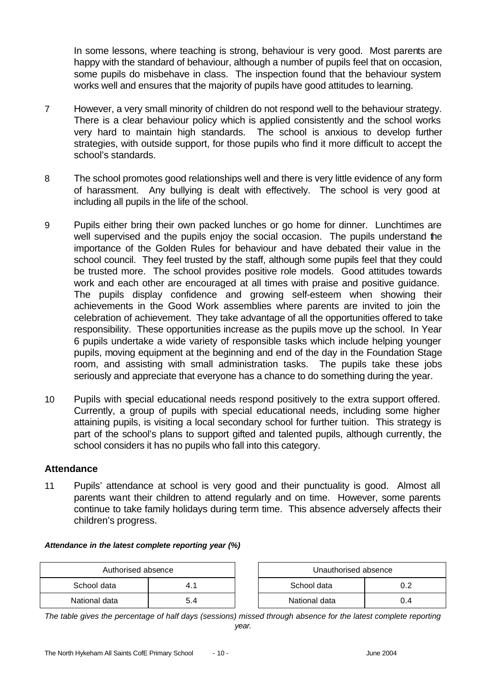In some lessons, where teaching is strong, behaviour is very good. Most parents are happy with the standard of behaviour, although a number of pupils feel that on occasion, some pupils do misbehave in class. The inspection found that the behaviour system works well and ensures that the majority of pupils have good attitudes to learning.

- 7 However, a very small minority of children do not respond well to the behaviour strategy. There is a clear behaviour policy which is applied consistently and the school works very hard to maintain high standards. The school is anxious to develop further strategies, with outside support, for those pupils who find it more difficult to accept the school's standards.
- 8 The school promotes good relationships well and there is very little evidence of any form of harassment. Any bullying is dealt with effectively. The school is very good at including all pupils in the life of the school.
- 9 Pupils either bring their own packed lunches or go home for dinner. Lunchtimes are well supervised and the pupils enjoy the social occasion. The pupils understand the importance of the Golden Rules for behaviour and have debated their value in the school council. They feel trusted by the staff, although some pupils feel that they could be trusted more. The school provides positive role models. Good attitudes towards work and each other are encouraged at all times with praise and positive guidance. The pupils display confidence and growing self-esteem when showing their achievements in the Good Work assemblies where parents are invited to join the celebration of achievement. They take advantage of all the opportunities offered to take responsibility. These opportunities increase as the pupils move up the school. In Year 6 pupils undertake a wide variety of responsible tasks which include helping younger pupils, moving equipment at the beginning and end of the day in the Foundation Stage room, and assisting with small administration tasks. The pupils take these jobs seriously and appreciate that everyone has a chance to do something during the year.
- 10 Pupils with special educational needs respond positively to the extra support offered. Currently, a group of pupils with special educational needs, including some higher attaining pupils, is visiting a local secondary school for further tuition. This strategy is part of the school's plans to support gifted and talented pupils, although currently, the school considers it has no pupils who fall into this category.

### **Attendance**

11 Pupils' attendance at school is very good and their punctuality is good. Almost all parents want their children to attend regularly and on time. However, some parents continue to take family holidays during term time. This absence adversely affects their children's progress.

*Attendance in the latest complete reporting year (%)*

| Authorised absence |     | Unauthorised absence |     |
|--------------------|-----|----------------------|-----|
| School data        |     | School data          | ).2 |
| National data      | 5.4 | National data        | 0.4 |

| Unauthorised absence |     |  |  |
|----------------------|-----|--|--|
| School data<br>በ 2   |     |  |  |
| National data        | በ 4 |  |  |

*The table gives the percentage of half days (sessions) missed through absence for the latest complete reporting year.*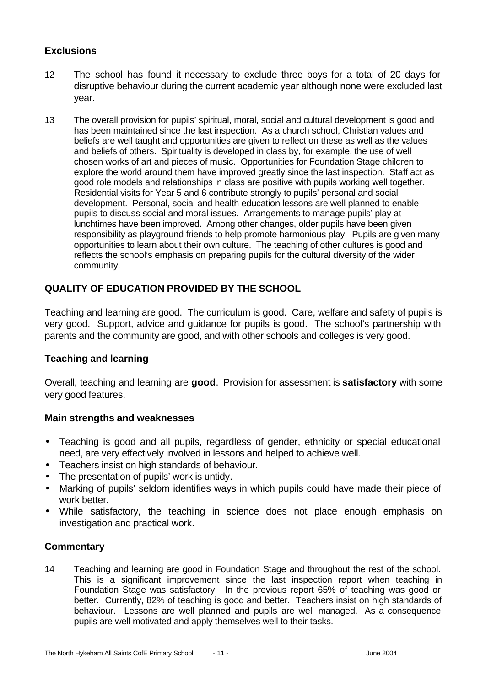## **Exclusions**

- 12 The school has found it necessary to exclude three boys for a total of 20 days for disruptive behaviour during the current academic year although none were excluded last year.
- 13 The overall provision for pupils' spiritual, moral, social and cultural development is good and has been maintained since the last inspection. As a church school, Christian values and beliefs are well taught and opportunities are given to reflect on these as well as the values and beliefs of others. Spirituality is developed in class by, for example, the use of well chosen works of art and pieces of music. Opportunities for Foundation Stage children to explore the world around them have improved greatly since the last inspection. Staff act as good role models and relationships in class are positive with pupils working well together. Residential visits for Year 5 and 6 contribute strongly to pupils' personal and social development. Personal, social and health education lessons are well planned to enable pupils to discuss social and moral issues. Arrangements to manage pupils' play at lunchtimes have been improved. Among other changes, older pupils have been given responsibility as playground friends to help promote harmonious play. Pupils are given many opportunities to learn about their own culture. The teaching of other cultures is good and reflects the school's emphasis on preparing pupils for the cultural diversity of the wider community.

## **QUALITY OF EDUCATION PROVIDED BY THE SCHOOL**

Teaching and learning are good. The curriculum is good. Care, welfare and safety of pupils is very good. Support, advice and guidance for pupils is good. The school's partnership with parents and the community are good, and with other schools and colleges is very good.

## **Teaching and learning**

Overall, teaching and learning are **good**. Provision for assessment is **satisfactory** with some very good features.

### **Main strengths and weaknesses**

- Teaching is good and all pupils, regardless of gender, ethnicity or special educational need, are very effectively involved in lessons and helped to achieve well.
- Teachers insist on high standards of behaviour.
- The presentation of pupils' work is untidy.
- Marking of pupils' seldom identifies ways in which pupils could have made their piece of work better.
- While satisfactory, the teaching in science does not place enough emphasis on investigation and practical work.

### **Commentary**

14 Teaching and learning are good in Foundation Stage and throughout the rest of the school. This is a significant improvement since the last inspection report when teaching in Foundation Stage was satisfactory. In the previous report 65% of teaching was good or better. Currently, 82% of teaching is good and better. Teachers insist on high standards of behaviour. Lessons are well planned and pupils are well managed. As a consequence pupils are well motivated and apply themselves well to their tasks.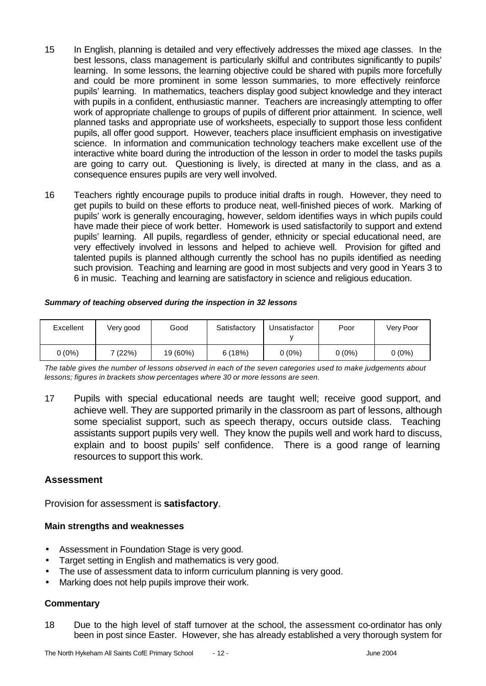- 15 In English, planning is detailed and very effectively addresses the mixed age classes. In the best lessons, class management is particularly skilful and contributes significantly to pupils' learning. In some lessons, the learning objective could be shared with pupils more forcefully and could be more prominent in some lesson summaries, to more effectively reinforce pupils' learning. In mathematics, teachers display good subject knowledge and they interact with pupils in a confident, enthusiastic manner. Teachers are increasingly attempting to offer work of appropriate challenge to groups of pupils of different prior attainment. In science, well planned tasks and appropriate use of worksheets, especially to support those less confident pupils, all offer good support. However, teachers place insufficient emphasis on investigative science. In information and communication technology teachers make excellent use of the interactive white board during the introduction of the lesson in order to model the tasks pupils are going to carry out. Questioning is lively, is directed at many in the class, and as a consequence ensures pupils are very well involved.
- 16 Teachers rightly encourage pupils to produce initial drafts in rough. However, they need to get pupils to build on these efforts to produce neat, well-finished pieces of work. Marking of pupils' work is generally encouraging, however, seldom identifies ways in which pupils could have made their piece of work better. Homework is used satisfactorily to support and extend pupils' learning. All pupils, regardless of gender, ethnicity or special educational need, are very effectively involved in lessons and helped to achieve well. Provision for gifted and talented pupils is planned although currently the school has no pupils identified as needing such provision. Teaching and learning are good in most subjects and very good in Years 3 to 6 in music. Teaching and learning are satisfactory in science and religious education.

| Excellent | √ery good | Good     | Satisfactory | Unsatisfactor | Poor     | Very Poor |
|-----------|-----------|----------|--------------|---------------|----------|-----------|
| $0(0\%)$  | 7 (22%)   | 19 (60%) | 6(18%)       | 0 (0%)        | $0(0\%)$ | $0(0\%)$  |

#### *Summary of teaching observed during the inspection in 32 lessons*

*The table gives the number of lessons observed in each of the seven categories used to make judgements about lessons; figures in brackets show percentages where 30 or more lessons are seen.*

17 Pupils with special educational needs are taught well; receive good support, and achieve well. They are supported primarily in the classroom as part of lessons, although some specialist support, such as speech therapy, occurs outside class. Teaching assistants support pupils very well. They know the pupils well and work hard to discuss, explain and to boost pupils' self confidence. There is a good range of learning resources to support this work.

#### **Assessment**

Provision for assessment is **satisfactory**.

#### **Main strengths and weaknesses**

- Assessment in Foundation Stage is very good.
- Target setting in English and mathematics is very good.
- The use of assessment data to inform curriculum planning is very good.
- Marking does not help pupils improve their work.

#### **Commentary**

18 Due to the high level of staff turnover at the school, the assessment co-ordinator has only been in post since Easter. However, she has already established a very thorough system for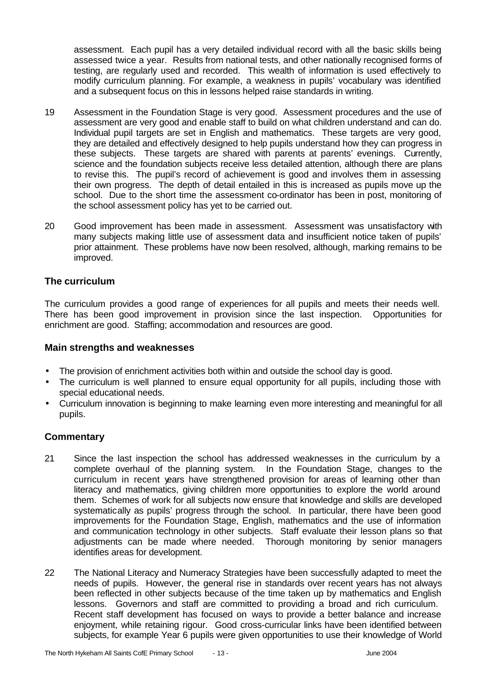assessment. Each pupil has a very detailed individual record with all the basic skills being assessed twice a year. Results from national tests, and other nationally recognised forms of testing, are regularly used and recorded. This wealth of information is used effectively to modify curriculum planning. For example, a weakness in pupils' vocabulary was identified and a subsequent focus on this in lessons helped raise standards in writing.

- 19 Assessment in the Foundation Stage is very good. Assessment procedures and the use of assessment are very good and enable staff to build on what children understand and can do. Individual pupil targets are set in English and mathematics. These targets are very good, they are detailed and effectively designed to help pupils understand how they can progress in these subjects. These targets are shared with parents at parents' evenings. Currently, science and the foundation subjects receive less detailed attention, although there are plans to revise this. The pupil's record of achievement is good and involves them in assessing their own progress. The depth of detail entailed in this is increased as pupils move up the school. Due to the short time the assessment co-ordinator has been in post, monitoring of the school assessment policy has yet to be carried out.
- 20 Good improvement has been made in assessment. Assessment was unsatisfactory with many subjects making little use of assessment data and insufficient notice taken of pupils' prior attainment. These problems have now been resolved, although, marking remains to be improved.

### **The curriculum**

The curriculum provides a good range of experiences for all pupils and meets their needs well. There has been good improvement in provision since the last inspection. Opportunities for enrichment are good. Staffing; accommodation and resources are good.

#### **Main strengths and weaknesses**

- The provision of enrichment activities both within and outside the school day is good.
- The curriculum is well planned to ensure equal opportunity for all pupils, including those with special educational needs.
- Curriculum innovation is beginning to make learning even more interesting and meaningful for all pupils.

- 21 Since the last inspection the school has addressed weaknesses in the curriculum by a complete overhaul of the planning system. In the Foundation Stage, changes to the curriculum in recent years have strengthened provision for areas of learning other than literacy and mathematics, giving children more opportunities to explore the world around them. Schemes of work for all subjects now ensure that knowledge and skills are developed systematically as pupils' progress through the school. In particular, there have been good improvements for the Foundation Stage, English, mathematics and the use of information and communication technology in other subjects. Staff evaluate their lesson plans so that adjustments can be made where needed. Thorough monitoring by senior managers identifies areas for development.
- 22 The National Literacy and Numeracy Strategies have been successfully adapted to meet the needs of pupils. However, the general rise in standards over recent years has not always been reflected in other subjects because of the time taken up by mathematics and English lessons. Governors and staff are committed to providing a broad and rich curriculum. Recent staff development has focused on ways to provide a better balance and increase enjoyment, while retaining rigour. Good cross-curricular links have been identified between subjects, for example Year 6 pupils were given opportunities to use their knowledge of World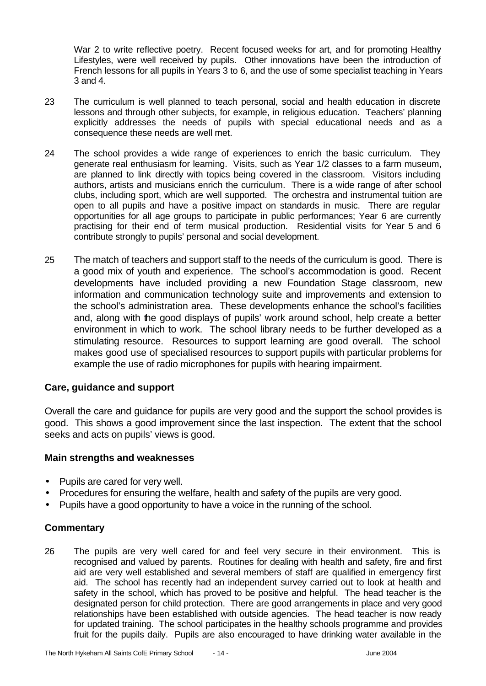War 2 to write reflective poetry. Recent focused weeks for art, and for promoting Healthy Lifestyles, were well received by pupils. Other innovations have been the introduction of French lessons for all pupils in Years 3 to 6, and the use of some specialist teaching in Years 3 and 4.

- 23 The curriculum is well planned to teach personal, social and health education in discrete lessons and through other subjects, for example, in religious education. Teachers' planning explicitly addresses the needs of pupils with special educational needs and as a consequence these needs are well met.
- 24 The school provides a wide range of experiences to enrich the basic curriculum. They generate real enthusiasm for learning. Visits, such as Year 1/2 classes to a farm museum, are planned to link directly with topics being covered in the classroom. Visitors including authors, artists and musicians enrich the curriculum. There is a wide range of after school clubs, including sport, which are well supported. The orchestra and instrumental tuition are open to all pupils and have a positive impact on standards in music. There are regular opportunities for all age groups to participate in public performances; Year 6 are currently practising for their end of term musical production. Residential visits for Year 5 and 6 contribute strongly to pupils' personal and social development.
- 25 The match of teachers and support staff to the needs of the curriculum is good. There is a good mix of youth and experience. The school's accommodation is good. Recent developments have included providing a new Foundation Stage classroom, new information and communication technology suite and improvements and extension to the school's administration area. These developments enhance the school's facilities and, along with the good displays of pupils' work around school, help create a better environment in which to work. The school library needs to be further developed as a stimulating resource. Resources to support learning are good overall. The school makes good use of specialised resources to support pupils with particular problems for example the use of radio microphones for pupils with hearing impairment.

### **Care, guidance and support**

Overall the care and guidance for pupils are very good and the support the school provides is good. This shows a good improvement since the last inspection. The extent that the school seeks and acts on pupils' views is good.

#### **Main strengths and weaknesses**

- Pupils are cared for very well.
- Procedures for ensuring the welfare, health and safety of the pupils are very good.
- Pupils have a good opportunity to have a voice in the running of the school.

### **Commentary**

26 The pupils are very well cared for and feel very secure in their environment. This is recognised and valued by parents. Routines for dealing with health and safety, fire and first aid are very well established and several members of staff are qualified in emergency first aid. The school has recently had an independent survey carried out to look at health and safety in the school, which has proved to be positive and helpful. The head teacher is the designated person for child protection. There are good arrangements in place and very good relationships have been established with outside agencies. The head teacher is now ready for updated training. The school participates in the healthy schools programme and provides fruit for the pupils daily. Pupils are also encouraged to have drinking water available in the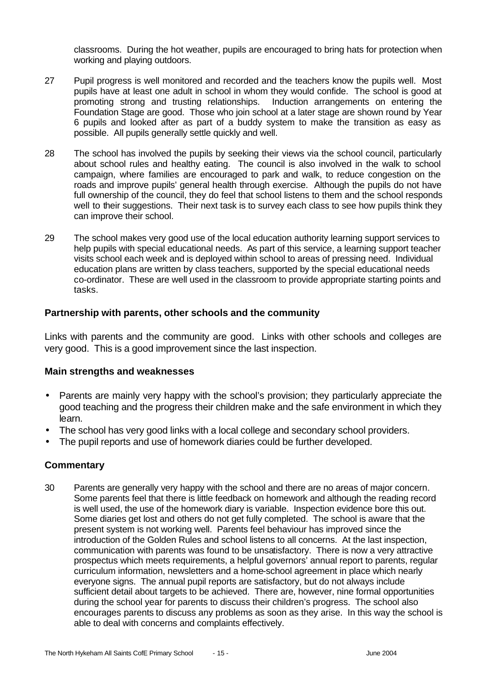classrooms. During the hot weather, pupils are encouraged to bring hats for protection when working and playing outdoors.

- 27 Pupil progress is well monitored and recorded and the teachers know the pupils well. Most pupils have at least one adult in school in whom they would confide. The school is good at promoting strong and trusting relationships. Induction arrangements on entering the Foundation Stage are good. Those who join school at a later stage are shown round by Year 6 pupils and looked after as part of a buddy system to make the transition as easy as possible. All pupils generally settle quickly and well.
- 28 The school has involved the pupils by seeking their views via the school council, particularly about school rules and healthy eating. The council is also involved in the walk to school campaign, where families are encouraged to park and walk, to reduce congestion on the roads and improve pupils' general health through exercise. Although the pupils do not have full ownership of the council, they do feel that school listens to them and the school responds well to their suggestions. Their next task is to survey each class to see how pupils think they can improve their school.
- 29 The school makes very good use of the local education authority learning support services to help pupils with special educational needs. As part of this service, a learning support teacher visits school each week and is deployed within school to areas of pressing need. Individual education plans are written by class teachers, supported by the special educational needs co-ordinator. These are well used in the classroom to provide appropriate starting points and tasks.

#### **Partnership with parents, other schools and the community**

Links with parents and the community are good. Links with other schools and colleges are very good. This is a good improvement since the last inspection.

#### **Main strengths and weaknesses**

- Parents are mainly very happy with the school's provision; they particularly appreciate the good teaching and the progress their children make and the safe environment in which they learn.
- The school has very good links with a local college and secondary school providers.
- The pupil reports and use of homework diaries could be further developed.

### **Commentary**

30 Parents are generally very happy with the school and there are no areas of major concern. Some parents feel that there is little feedback on homework and although the reading record is well used, the use of the homework diary is variable. Inspection evidence bore this out. Some diaries get lost and others do not get fully completed. The school is aware that the present system is not working well. Parents feel behaviour has improved since the introduction of the Golden Rules and school listens to all concerns. At the last inspection, communication with parents was found to be unsatisfactory. There is now a very attractive prospectus which meets requirements, a helpful governors' annual report to parents, regular curriculum information, newsletters and a home-school agreement in place which nearly everyone signs. The annual pupil reports are satisfactory, but do not always include sufficient detail about targets to be achieved. There are, however, nine formal opportunities during the school year for parents to discuss their children's progress. The school also encourages parents to discuss any problems as soon as they arise. In this way the school is able to deal with concerns and complaints effectively.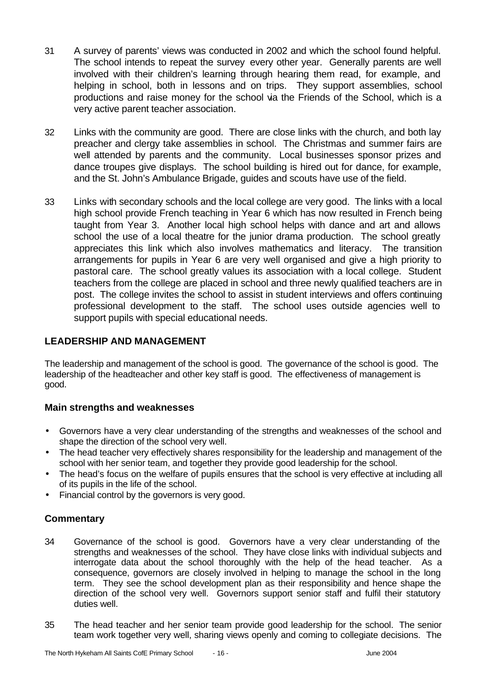- 31 A survey of parents' views was conducted in 2002 and which the school found helpful. The school intends to repeat the survey every other year. Generally parents are well involved with their children's learning through hearing them read, for example, and helping in school, both in lessons and on trips. They support assemblies, school productions and raise money for the school via the Friends of the School, which is a very active parent teacher association.
- 32 Links with the community are good. There are close links with the church, and both lay preacher and clergy take assemblies in school. The Christmas and summer fairs are well attended by parents and the community. Local businesses sponsor prizes and dance troupes give displays. The school building is hired out for dance, for example, and the St. John's Ambulance Brigade, guides and scouts have use of the field.
- 33 Links with secondary schools and the local college are very good. The links with a local high school provide French teaching in Year 6 which has now resulted in French being taught from Year 3. Another local high school helps with dance and art and allows school the use of a local theatre for the junior drama production. The school greatly appreciates this link which also involves mathematics and literacy. The transition arrangements for pupils in Year 6 are very well organised and give a high priority to pastoral care. The school greatly values its association with a local college. Student teachers from the college are placed in school and three newly qualified teachers are in post. The college invites the school to assist in student interviews and offers continuing professional development to the staff. The school uses outside agencies well to support pupils with special educational needs.

## **LEADERSHIP AND MANAGEMENT**

The leadership and management of the school is good. The governance of the school is good. The leadership of the headteacher and other key staff is good. The effectiveness of management is good.

### **Main strengths and weaknesses**

- Governors have a very clear understanding of the strengths and weaknesses of the school and shape the direction of the school very well.
- The head teacher very effectively shares responsibility for the leadership and management of the school with her senior team, and together they provide good leadership for the school.
- The head's focus on the welfare of pupils ensures that the school is very effective at including all of its pupils in the life of the school.
- Financial control by the governors is very good.

- 34 Governance of the school is good. Governors have a very clear understanding of the strengths and weaknesses of the school. They have close links with individual subjects and interrogate data about the school thoroughly with the help of the head teacher. As a consequence, governors are closely involved in helping to manage the school in the long term. They see the school development plan as their responsibility and hence shape the direction of the school very well. Governors support senior staff and fulfil their statutory duties well.
- 35 The head teacher and her senior team provide good leadership for the school. The senior team work together very well, sharing views openly and coming to collegiate decisions. The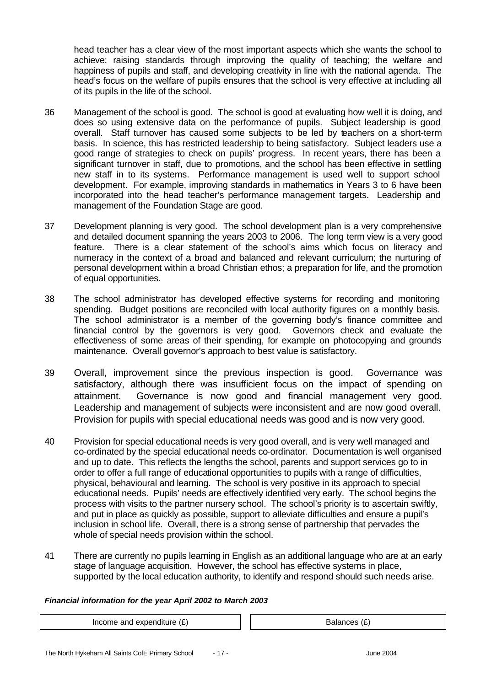head teacher has a clear view of the most important aspects which she wants the school to achieve: raising standards through improving the quality of teaching; the welfare and happiness of pupils and staff, and developing creativity in line with the national agenda. The head's focus on the welfare of pupils ensures that the school is very effective at including all of its pupils in the life of the school.

- 36 Management of the school is good. The school is good at evaluating how well it is doing, and does so using extensive data on the performance of pupils. Subject leadership is good overall. Staff turnover has caused some subjects to be led by teachers on a short-term basis. In science, this has restricted leadership to being satisfactory. Subject leaders use a good range of strategies to check on pupils' progress. In recent years, there has been a significant turnover in staff, due to promotions, and the school has been effective in settling new staff in to its systems. Performance management is used well to support school development. For example, improving standards in mathematics in Years 3 to 6 have been incorporated into the head teacher's performance management targets. Leadership and management of the Foundation Stage are good.
- 37 Development planning is very good. The school development plan is a very comprehensive and detailed document spanning the years 2003 to 2006. The long term view is a very good feature. There is a clear statement of the school's aims which focus on literacy and numeracy in the context of a broad and balanced and relevant curriculum; the nurturing of personal development within a broad Christian ethos; a preparation for life, and the promotion of equal opportunities.
- 38 The school administrator has developed effective systems for recording and monitoring spending. Budget positions are reconciled with local authority figures on a monthly basis. The school administrator is a member of the governing body's finance committee and financial control by the governors is very good. Governors check and evaluate the effectiveness of some areas of their spending, for example on photocopying and grounds maintenance. Overall governor's approach to best value is satisfactory.
- 39 Overall, improvement since the previous inspection is good. Governance was satisfactory, although there was insufficient focus on the impact of spending on attainment. Governance is now good and financial management very good. Leadership and management of subjects were inconsistent and are now good overall. Provision for pupils with special educational needs was good and is now very good.
- 40 Provision for special educational needs is very good overall, and is very well managed and co-ordinated by the special educational needs co-ordinator. Documentation is well organised and up to date. This reflects the lengths the school, parents and support services go to in order to offer a full range of educational opportunities to pupils with a range of difficulties, physical, behavioural and learning. The school is very positive in its approach to special educational needs. Pupils' needs are effectively identified very early. The school begins the process with visits to the partner nursery school. The school's priority is to ascertain swiftly, and put in place as quickly as possible, support to alleviate difficulties and ensure a pupil's inclusion in school life. Overall, there is a strong sense of partnership that pervades the whole of special needs provision within the school.
- 41 There are currently no pupils learning in English as an additional language who are at an early stage of language acquisition. However, the school has effective systems in place, supported by the local education authority, to identify and respond should such needs arise.

#### *Financial information for the year April 2002 to March 2003*

Income and expenditure  $(E)$   $\qquad \qquad$   $\qquad$  Balances  $(E)$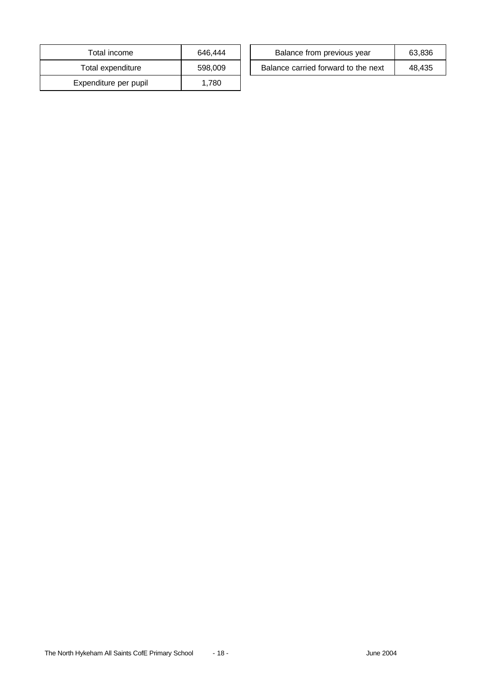| Total income          | 646,444 |
|-----------------------|---------|
| Total expenditure     | 598,009 |
| Expenditure per pupil | 1.780   |

| Total income      | 646.444 | Balance from previous year          | 63.836 |
|-------------------|---------|-------------------------------------|--------|
| Total expenditure | 598,009 | Balance carried forward to the next | 48.435 |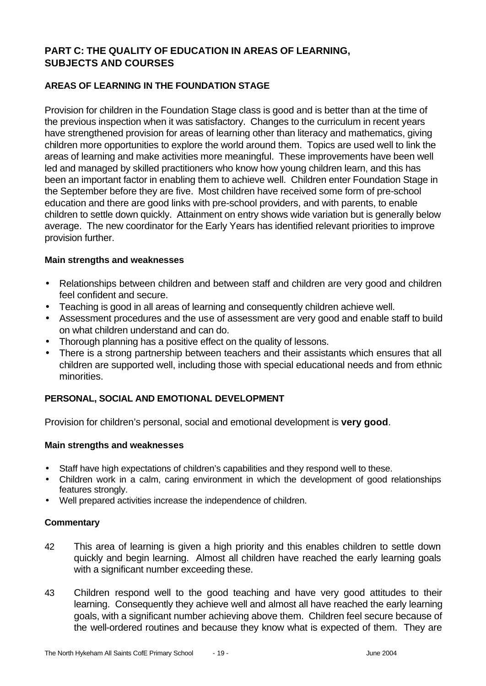## **PART C: THE QUALITY OF EDUCATION IN AREAS OF LEARNING, SUBJECTS AND COURSES**

## **AREAS OF LEARNING IN THE FOUNDATION STAGE**

Provision for children in the Foundation Stage class is good and is better than at the time of the previous inspection when it was satisfactory. Changes to the curriculum in recent years have strengthened provision for areas of learning other than literacy and mathematics, giving children more opportunities to explore the world around them. Topics are used well to link the areas of learning and make activities more meaningful. These improvements have been well led and managed by skilled practitioners who know how young children learn, and this has been an important factor in enabling them to achieve well. Children enter Foundation Stage in the September before they are five. Most children have received some form of pre-school education and there are good links with pre-school providers, and with parents, to enable children to settle down quickly. Attainment on entry shows wide variation but is generally below average. The new coordinator for the Early Years has identified relevant priorities to improve provision further.

#### **Main strengths and weaknesses**

- Relationships between children and between staff and children are very good and children feel confident and secure.
- Teaching is good in all areas of learning and consequently children achieve well.
- Assessment procedures and the use of assessment are very good and enable staff to build on what children understand and can do.
- Thorough planning has a positive effect on the quality of lessons.
- There is a strong partnership between teachers and their assistants which ensures that all children are supported well, including those with special educational needs and from ethnic minorities.

### **PERSONAL, SOCIAL AND EMOTIONAL DEVELOPMENT**

Provision for children's personal, social and emotional development is **very good**.

#### **Main strengths and weaknesses**

- Staff have high expectations of children's capabilities and they respond well to these.
- Children work in a calm, caring environment in which the development of good relationships features strongly.
- Well prepared activities increase the independence of children.

- 42 This area of learning is given a high priority and this enables children to settle down quickly and begin learning. Almost all children have reached the early learning goals with a significant number exceeding these.
- 43 Children respond well to the good teaching and have very good attitudes to their learning. Consequently they achieve well and almost all have reached the early learning goals, with a significant number achieving above them. Children feel secure because of the well-ordered routines and because they know what is expected of them. They are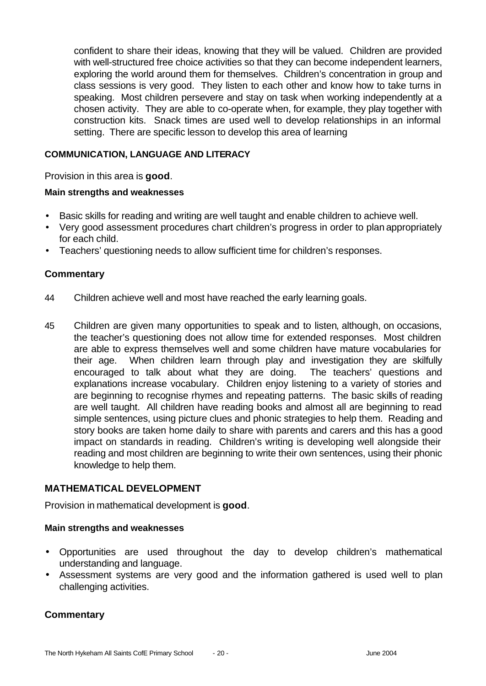confident to share their ideas, knowing that they will be valued. Children are provided with well-structured free choice activities so that they can become independent learners, exploring the world around them for themselves. Children's concentration in group and class sessions is very good. They listen to each other and know how to take turns in speaking. Most children persevere and stay on task when working independently at a chosen activity. They are able to co-operate when, for example, they play together with construction kits. Snack times are used well to develop relationships in an informal setting. There are specific lesson to develop this area of learning

### **COMMUNICATION, LANGUAGE AND LITERACY**

Provision in this area is **good**.

#### **Main strengths and weaknesses**

- Basic skills for reading and writing are well taught and enable children to achieve well.
- Very good assessment procedures chart children's progress in order to plan appropriately for each child.
- Teachers' questioning needs to allow sufficient time for children's responses.

### **Commentary**

- 44 Children achieve well and most have reached the early learning goals.
- 45 Children are given many opportunities to speak and to listen, although, on occasions, the teacher's questioning does not allow time for extended responses. Most children are able to express themselves well and some children have mature vocabularies for their age. When children learn through play and investigation they are skilfully encouraged to talk about what they are doing. The teachers' questions and explanations increase vocabulary. Children enjoy listening to a variety of stories and are beginning to recognise rhymes and repeating patterns. The basic skills of reading are well taught. All children have reading books and almost all are beginning to read simple sentences, using picture clues and phonic strategies to help them. Reading and story books are taken home daily to share with parents and carers and this has a good impact on standards in reading. Children's writing is developing well alongside their reading and most children are beginning to write their own sentences, using their phonic knowledge to help them.

#### **MATHEMATICAL DEVELOPMENT**

Provision in mathematical development is **good**.

#### **Main strengths and weaknesses**

- Opportunities are used throughout the day to develop children's mathematical understanding and language.
- Assessment systems are very good and the information gathered is used well to plan challenging activities.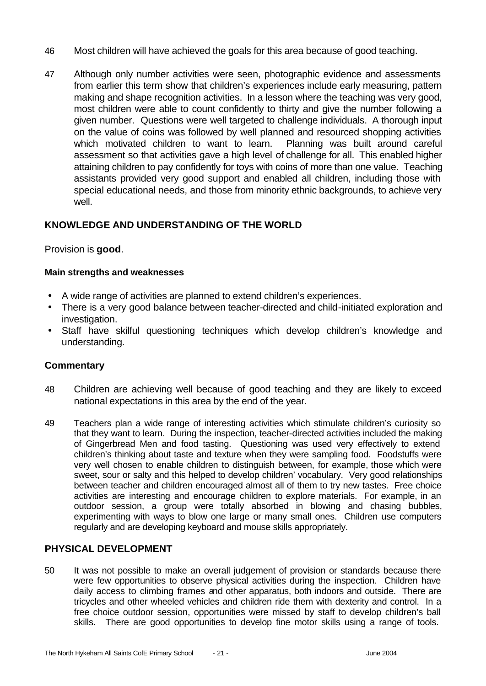- 46 Most children will have achieved the goals for this area because of good teaching.
- 47 Although only number activities were seen, photographic evidence and assessments from earlier this term show that children's experiences include early measuring, pattern making and shape recognition activities. In a lesson where the teaching was very good, most children were able to count confidently to thirty and give the number following a given number. Questions were well targeted to challenge individuals. A thorough input on the value of coins was followed by well planned and resourced shopping activities which motivated children to want to learn. Planning was built around careful assessment so that activities gave a high level of challenge for all. This enabled higher attaining children to pay confidently for toys with coins of more than one value. Teaching assistants provided very good support and enabled all children, including those with special educational needs, and those from minority ethnic backgrounds, to achieve very well.

## **KNOWLEDGE AND UNDERSTANDING OF THE WORLD**

Provision is **good**.

#### **Main strengths and weaknesses**

- A wide range of activities are planned to extend children's experiences.
- There is a very good balance between teacher-directed and child-initiated exploration and investigation.
- Staff have skilful questioning techniques which develop children's knowledge and understanding.

#### **Commentary**

- 48 Children are achieving well because of good teaching and they are likely to exceed national expectations in this area by the end of the year.
- 49 Teachers plan a wide range of interesting activities which stimulate children's curiosity so that they want to learn. During the inspection, teacher-directed activities included the making of Gingerbread Men and food tasting. Questioning was used very effectively to extend children's thinking about taste and texture when they were sampling food. Foodstuffs were very well chosen to enable children to distinguish between, for example, those which were sweet, sour or salty and this helped to develop children' vocabulary. Very good relationships between teacher and children encouraged almost all of them to try new tastes. Free choice activities are interesting and encourage children to explore materials. For example, in an outdoor session, a group were totally absorbed in blowing and chasing bubbles, experimenting with ways to blow one large or many small ones. Children use computers regularly and are developing keyboard and mouse skills appropriately.

### **PHYSICAL DEVELOPMENT**

50 It was not possible to make an overall judgement of provision or standards because there were few opportunities to observe physical activities during the inspection. Children have daily access to climbing frames and other apparatus, both indoors and outside. There are tricycles and other wheeled vehicles and children ride them with dexterity and control. In a free choice outdoor session, opportunities were missed by staff to develop children's ball skills. There are good opportunities to develop fine motor skills using a range of tools.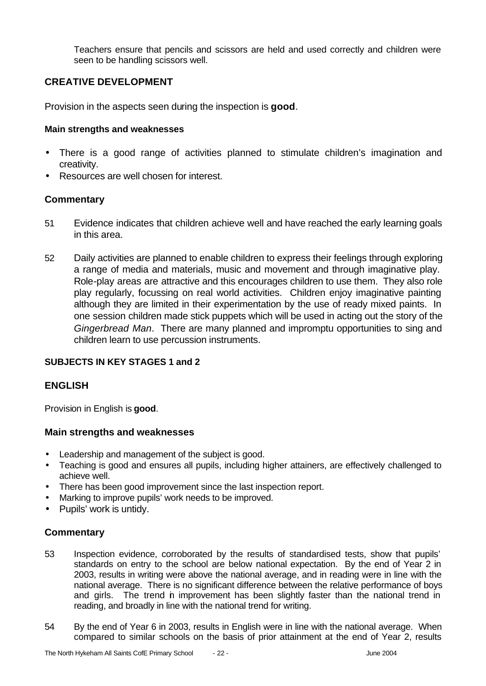Teachers ensure that pencils and scissors are held and used correctly and children were seen to be handling scissors well.

### **CREATIVE DEVELOPMENT**

Provision in the aspects seen during the inspection is **good**.

#### **Main strengths and weaknesses**

- There is a good range of activities planned to stimulate children's imagination and creativity.
- Resources are well chosen for interest.

### **Commentary**

- 51 Evidence indicates that children achieve well and have reached the early learning goals in this area.
- 52 Daily activities are planned to enable children to express their feelings through exploring a range of media and materials, music and movement and through imaginative play. Role-play areas are attractive and this encourages children to use them. They also role play regularly, focussing on real world activities. Children enjoy imaginative painting although they are limited in their experimentation by the use of ready mixed paints. In one session children made stick puppets which will be used in acting out the story of the *Gingerbread Man*. There are many planned and impromptu opportunities to sing and children learn to use percussion instruments.

### **SUBJECTS IN KEY STAGES 1 and 2**

### **ENGLISH**

Provision in English is **good**.

#### **Main strengths and weaknesses**

- Leadership and management of the subject is good.
- Teaching is good and ensures all pupils, including higher attainers, are effectively challenged to achieve well.
- There has been good improvement since the last inspection report.
- Marking to improve pupils' work needs to be improved.
- Pupils' work is untidy.

- 53 Inspection evidence, corroborated by the results of standardised tests, show that pupils' standards on entry to the school are below national expectation. By the end of Year 2 in 2003, results in writing were above the national average, and in reading were in line with the national average. There is no significant difference between the relative performance of boys and girls. The trend in improvement has been slightly faster than the national trend in reading, and broadly in line with the national trend for writing.
- 54 By the end of Year 6 in 2003, results in English were in line with the national average. When compared to similar schools on the basis of prior attainment at the end of Year 2, results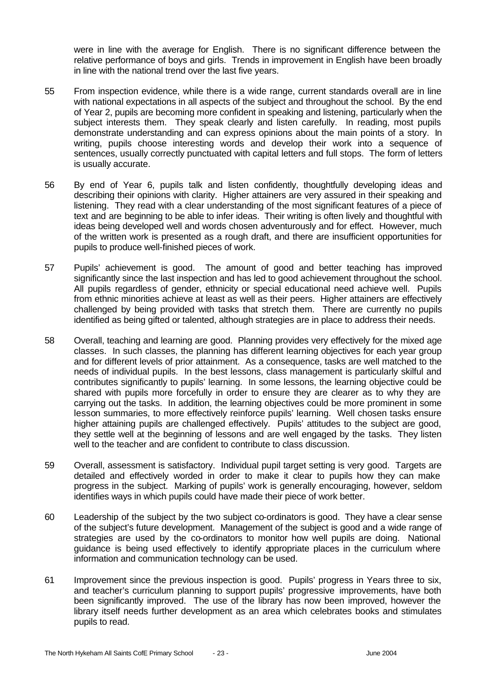were in line with the average for English. There is no significant difference between the relative performance of boys and girls. Trends in improvement in English have been broadly in line with the national trend over the last five years.

- 55 From inspection evidence, while there is a wide range, current standards overall are in line with national expectations in all aspects of the subject and throughout the school. By the end of Year 2, pupils are becoming more confident in speaking and listening, particularly when the subject interests them. They speak clearly and listen carefully. In reading, most pupils demonstrate understanding and can express opinions about the main points of a story. In writing, pupils choose interesting words and develop their work into a sequence of sentences, usually correctly punctuated with capital letters and full stops. The form of letters is usually accurate.
- 56 By end of Year 6, pupils talk and listen confidently, thoughtfully developing ideas and describing their opinions with clarity. Higher attainers are very assured in their speaking and listening. They read with a clear understanding of the most significant features of a piece of text and are beginning to be able to infer ideas. Their writing is often lively and thoughtful with ideas being developed well and words chosen adventurously and for effect. However, much of the written work is presented as a rough draft, and there are insufficient opportunities for pupils to produce well-finished pieces of work.
- 57 Pupils' achievement is good. The amount of good and better teaching has improved significantly since the last inspection and has led to good achievement throughout the school. All pupils regardless of gender, ethnicity or special educational need achieve well. Pupils from ethnic minorities achieve at least as well as their peers. Higher attainers are effectively challenged by being provided with tasks that stretch them. There are currently no pupils identified as being gifted or talented, although strategies are in place to address their needs.
- 58 Overall, teaching and learning are good. Planning provides very effectively for the mixed age classes. In such classes, the planning has different learning objectives for each year group and for different levels of prior attainment. As a consequence, tasks are well matched to the needs of individual pupils. In the best lessons, class management is particularly skilful and contributes significantly to pupils' learning. In some lessons, the learning objective could be shared with pupils more forcefully in order to ensure they are clearer as to why they are carrying out the tasks. In addition, the learning objectives could be more prominent in some lesson summaries, to more effectively reinforce pupils' learning. Well chosen tasks ensure higher attaining pupils are challenged effectively. Pupils' attitudes to the subject are good, they settle well at the beginning of lessons and are well engaged by the tasks. They listen well to the teacher and are confident to contribute to class discussion.
- 59 Overall, assessment is satisfactory. Individual pupil target setting is very good. Targets are detailed and effectively worded in order to make it clear to pupils how they can make progress in the subject. Marking of pupils' work is generally encouraging, however, seldom identifies ways in which pupils could have made their piece of work better.
- 60 Leadership of the subject by the two subject co-ordinators is good. They have a clear sense of the subject's future development. Management of the subject is good and a wide range of strategies are used by the co-ordinators to monitor how well pupils are doing. National guidance is being used effectively to identify appropriate places in the curriculum where information and communication technology can be used.
- 61 Improvement since the previous inspection is good. Pupils' progress in Years three to six, and teacher's curriculum planning to support pupils' progressive improvements, have both been significantly improved. The use of the library has now been improved, however the library itself needs further development as an area which celebrates books and stimulates pupils to read.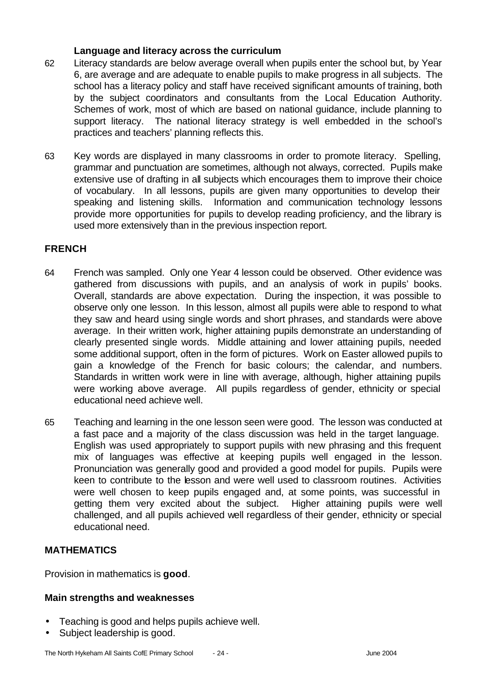#### **Language and literacy across the curriculum**

- 62 Literacy standards are below average overall when pupils enter the school but, by Year 6, are average and are adequate to enable pupils to make progress in all subjects. The school has a literacy policy and staff have received significant amounts of training, both by the subject coordinators and consultants from the Local Education Authority. Schemes of work, most of which are based on national guidance, include planning to support literacy. The national literacy strategy is well embedded in the school's practices and teachers' planning reflects this.
- 63 Key words are displayed in many classrooms in order to promote literacy. Spelling, grammar and punctuation are sometimes, although not always, corrected. Pupils make extensive use of drafting in all subjects which encourages them to improve their choice of vocabulary. In all lessons, pupils are given many opportunities to develop their speaking and listening skills. Information and communication technology lessons provide more opportunities for pupils to develop reading proficiency, and the library is used more extensively than in the previous inspection report.

### **FRENCH**

- 64 French was sampled. Only one Year 4 lesson could be observed. Other evidence was gathered from discussions with pupils, and an analysis of work in pupils' books. Overall, standards are above expectation. During the inspection, it was possible to observe only one lesson. In this lesson, almost all pupils were able to respond to what they saw and heard using single words and short phrases, and standards were above average. In their written work, higher attaining pupils demonstrate an understanding of clearly presented single words. Middle attaining and lower attaining pupils, needed some additional support, often in the form of pictures. Work on Easter allowed pupils to gain a knowledge of the French for basic colours; the calendar, and numbers. Standards in written work were in line with average, although, higher attaining pupils were working above average. All pupils regardless of gender, ethnicity or special educational need achieve well.
- 65 Teaching and learning in the one lesson seen were good. The lesson was conducted at a fast pace and a majority of the class discussion was held in the target language. English was used appropriately to support pupils with new phrasing and this frequent mix of languages was effective at keeping pupils well engaged in the lesson. Pronunciation was generally good and provided a good model for pupils. Pupils were keen to contribute to the lesson and were well used to classroom routines. Activities were well chosen to keep pupils engaged and, at some points, was successful in getting them very excited about the subject. Higher attaining pupils were well challenged, and all pupils achieved well regardless of their gender, ethnicity or special educational need.

## **MATHEMATICS**

Provision in mathematics is **good**.

### **Main strengths and weaknesses**

- Teaching is good and helps pupils achieve well.
- Subject leadership is good.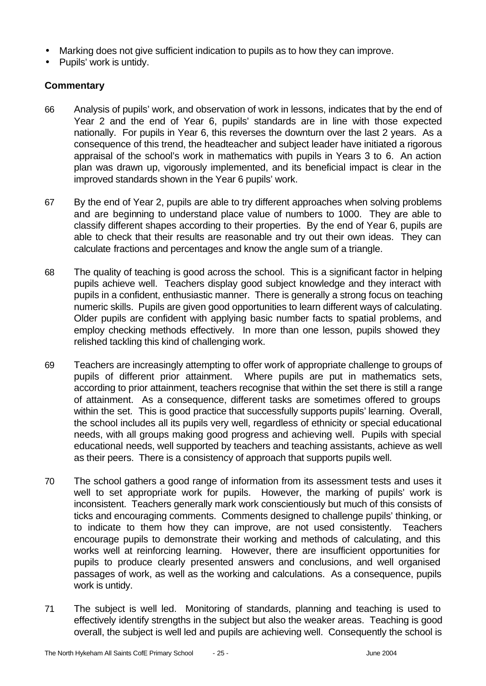- Marking does not give sufficient indication to pupils as to how they can improve.
- Pupils' work is untidy.

- 66 Analysis of pupils' work, and observation of work in lessons, indicates that by the end of Year 2 and the end of Year 6, pupils' standards are in line with those expected nationally. For pupils in Year 6, this reverses the downturn over the last 2 years. As a consequence of this trend, the headteacher and subject leader have initiated a rigorous appraisal of the school's work in mathematics with pupils in Years 3 to 6. An action plan was drawn up, vigorously implemented, and its beneficial impact is clear in the improved standards shown in the Year 6 pupils' work.
- 67 By the end of Year 2, pupils are able to try different approaches when solving problems and are beginning to understand place value of numbers to 1000. They are able to classify different shapes according to their properties. By the end of Year 6, pupils are able to check that their results are reasonable and try out their own ideas. They can calculate fractions and percentages and know the angle sum of a triangle.
- 68 The quality of teaching is good across the school. This is a significant factor in helping pupils achieve well. Teachers display good subject knowledge and they interact with pupils in a confident, enthusiastic manner. There is generally a strong focus on teaching numeric skills. Pupils are given good opportunities to learn different ways of calculating. Older pupils are confident with applying basic number facts to spatial problems, and employ checking methods effectively. In more than one lesson, pupils showed they relished tackling this kind of challenging work.
- 69 Teachers are increasingly attempting to offer work of appropriate challenge to groups of pupils of different prior attainment. Where pupils are put in mathematics sets, according to prior attainment, teachers recognise that within the set there is still a range of attainment. As a consequence, different tasks are sometimes offered to groups within the set. This is good practice that successfully supports pupils' learning. Overall, the school includes all its pupils very well, regardless of ethnicity or special educational needs, with all groups making good progress and achieving well. Pupils with special educational needs, well supported by teachers and teaching assistants, achieve as well as their peers. There is a consistency of approach that supports pupils well.
- 70 The school gathers a good range of information from its assessment tests and uses it well to set appropriate work for pupils. However, the marking of pupils' work is inconsistent. Teachers generally mark work conscientiously but much of this consists of ticks and encouraging comments. Comments designed to challenge pupils' thinking, or to indicate to them how they can improve, are not used consistently. Teachers encourage pupils to demonstrate their working and methods of calculating, and this works well at reinforcing learning. However, there are insufficient opportunities for pupils to produce clearly presented answers and conclusions, and well organised passages of work, as well as the working and calculations. As a consequence, pupils work is untidy.
- 71 The subject is well led. Monitoring of standards, planning and teaching is used to effectively identify strengths in the subject but also the weaker areas. Teaching is good overall, the subject is well led and pupils are achieving well. Consequently the school is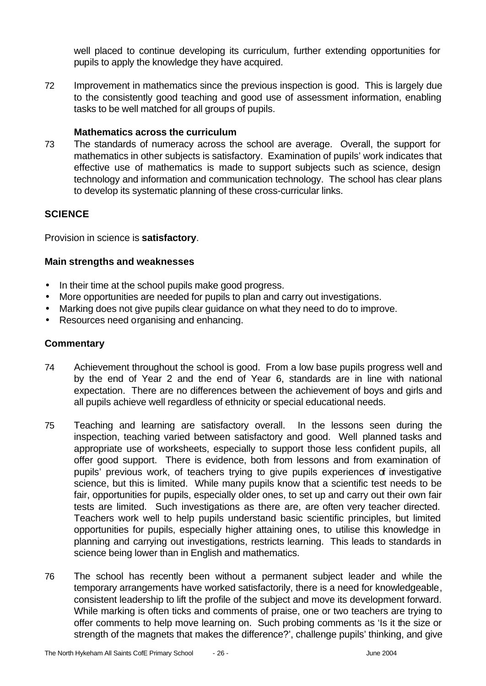well placed to continue developing its curriculum, further extending opportunities for pupils to apply the knowledge they have acquired.

72 Improvement in mathematics since the previous inspection is good. This is largely due to the consistently good teaching and good use of assessment information, enabling tasks to be well matched for all groups of pupils.

### **Mathematics across the curriculum**

73 The standards of numeracy across the school are average. Overall, the support for mathematics in other subjects is satisfactory. Examination of pupils' work indicates that effective use of mathematics is made to support subjects such as science, design technology and information and communication technology. The school has clear plans to develop its systematic planning of these cross-curricular links.

### **SCIENCE**

Provision in science is **satisfactory**.

#### **Main strengths and weaknesses**

- In their time at the school pupils make good progress.
- More opportunities are needed for pupils to plan and carry out investigations.
- Marking does not give pupils clear guidance on what they need to do to improve.
- Resources need organising and enhancing.

- 74 Achievement throughout the school is good. From a low base pupils progress well and by the end of Year 2 and the end of Year 6, standards are in line with national expectation. There are no differences between the achievement of boys and girls and all pupils achieve well regardless of ethnicity or special educational needs.
- 75 Teaching and learning are satisfactory overall. In the lessons seen during the inspection, teaching varied between satisfactory and good. Well planned tasks and appropriate use of worksheets, especially to support those less confident pupils, all offer good support. There is evidence, both from lessons and from examination of pupils' previous work, of teachers trying to give pupils experiences of investigative science, but this is limited. While many pupils know that a scientific test needs to be fair, opportunities for pupils, especially older ones, to set up and carry out their own fair tests are limited. Such investigations as there are, are often very teacher directed. Teachers work well to help pupils understand basic scientific principles, but limited opportunities for pupils, especially higher attaining ones, to utilise this knowledge in planning and carrying out investigations, restricts learning. This leads to standards in science being lower than in English and mathematics.
- 76 The school has recently been without a permanent subject leader and while the temporary arrangements have worked satisfactorily, there is a need for knowledgeable, consistent leadership to lift the profile of the subject and move its development forward. While marking is often ticks and comments of praise, one or two teachers are trying to offer comments to help move learning on. Such probing comments as 'Is it the size or strength of the magnets that makes the difference?', challenge pupils' thinking, and give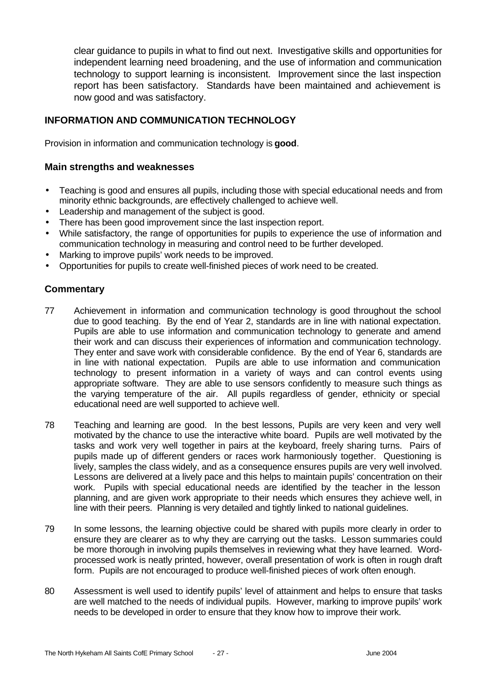clear guidance to pupils in what to find out next. Investigative skills and opportunities for independent learning need broadening, and the use of information and communication technology to support learning is inconsistent. Improvement since the last inspection report has been satisfactory. Standards have been maintained and achievement is now good and was satisfactory.

## **INFORMATION AND COMMUNICATION TECHNOLOGY**

Provision in information and communication technology is **good**.

### **Main strengths and weaknesses**

- Teaching is good and ensures all pupils, including those with special educational needs and from minority ethnic backgrounds, are effectively challenged to achieve well.
- Leadership and management of the subject is good.
- There has been good improvement since the last inspection report.
- While satisfactory, the range of opportunities for pupils to experience the use of information and communication technology in measuring and control need to be further developed.
- Marking to improve pupils' work needs to be improved.
- Opportunities for pupils to create well-finished pieces of work need to be created.

- 77 Achievement in information and communication technology is good throughout the school due to good teaching. By the end of Year 2, standards are in line with national expectation. Pupils are able to use information and communication technology to generate and amend their work and can discuss their experiences of information and communication technology. They enter and save work with considerable confidence. By the end of Year 6, standards are in line with national expectation. Pupils are able to use information and communication technology to present information in a variety of ways and can control events using appropriate software. They are able to use sensors confidently to measure such things as the varying temperature of the air. All pupils regardless of gender, ethnicity or special educational need are well supported to achieve well.
- 78 Teaching and learning are good. In the best lessons, Pupils are very keen and very well motivated by the chance to use the interactive white board. Pupils are well motivated by the tasks and work very well together in pairs at the keyboard, freely sharing turns. Pairs of pupils made up of different genders or races work harmoniously together. Questioning is lively, samples the class widely, and as a consequence ensures pupils are very well involved. Lessons are delivered at a lively pace and this helps to maintain pupils' concentration on their work. Pupils with special educational needs are identified by the teacher in the lesson planning, and are given work appropriate to their needs which ensures they achieve well, in line with their peers. Planning is very detailed and tightly linked to national guidelines.
- 79 In some lessons, the learning objective could be shared with pupils more clearly in order to ensure they are clearer as to why they are carrying out the tasks. Lesson summaries could be more thorough in involving pupils themselves in reviewing what they have learned. Wordprocessed work is neatly printed, however, overall presentation of work is often in rough draft form. Pupils are not encouraged to produce well-finished pieces of work often enough.
- 80 Assessment is well used to identify pupils' level of attainment and helps to ensure that tasks are well matched to the needs of individual pupils. However, marking to improve pupils' work needs to be developed in order to ensure that they know how to improve their work.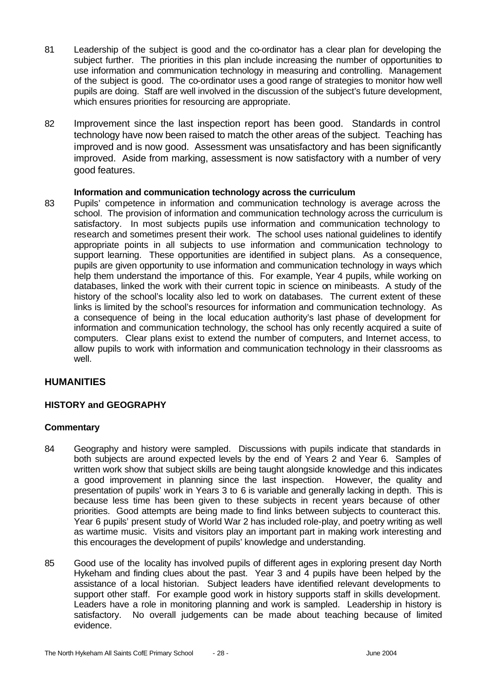- 81 Leadership of the subject is good and the co-ordinator has a clear plan for developing the subject further. The priorities in this plan include increasing the number of opportunities to use information and communication technology in measuring and controlling. Management of the subject is good. The co-ordinator uses a good range of strategies to monitor how well pupils are doing. Staff are well involved in the discussion of the subject's future development, which ensures priorities for resourcing are appropriate.
- 82 Improvement since the last inspection report has been good. Standards in control technology have now been raised to match the other areas of the subject. Teaching has improved and is now good. Assessment was unsatisfactory and has been significantly improved. Aside from marking, assessment is now satisfactory with a number of very good features.

#### **Information and communication technology across the curriculum**

83 Pupils' competence in information and communication technology is average across the school. The provision of information and communication technology across the curriculum is satisfactory. In most subjects pupils use information and communication technology to research and sometimes present their work. The school uses national guidelines to identify appropriate points in all subjects to use information and communication technology to support learning. These opportunities are identified in subject plans. As a consequence, pupils are given opportunity to use information and communication technology in ways which help them understand the importance of this. For example, Year 4 pupils, while working on databases, linked the work with their current topic in science on minibeasts. A study of the history of the school's locality also led to work on databases. The current extent of these links is limited by the school's resources for information and communication technology. As a consequence of being in the local education authority's last phase of development for information and communication technology, the school has only recently acquired a suite of computers. Clear plans exist to extend the number of computers, and Internet access, to allow pupils to work with information and communication technology in their classrooms as well.

### **HUMANITIES**

### **HISTORY and GEOGRAPHY**

- 84 Geography and history were sampled. Discussions with pupils indicate that standards in both subjects are around expected levels by the end of Years 2 and Year 6. Samples of written work show that subject skills are being taught alongside knowledge and this indicates a good improvement in planning since the last inspection. However, the quality and presentation of pupils' work in Years 3 to 6 is variable and generally lacking in depth. This is because less time has been given to these subjects in recent years because of other priorities. Good attempts are being made to find links between subjects to counteract this. Year 6 pupils' present study of World War 2 has included role-play, and poetry writing as well as wartime music. Visits and visitors play an important part in making work interesting and this encourages the development of pupils' knowledge and understanding.
- 85 Good use of the locality has involved pupils of different ages in exploring present day North Hykeham and finding clues about the past. Year 3 and 4 pupils have been helped by the assistance of a local historian. Subject leaders have identified relevant developments to support other staff. For example good work in history supports staff in skills development. Leaders have a role in monitoring planning and work is sampled. Leadership in history is satisfactory. No overall judgements can be made about teaching because of limited evidence.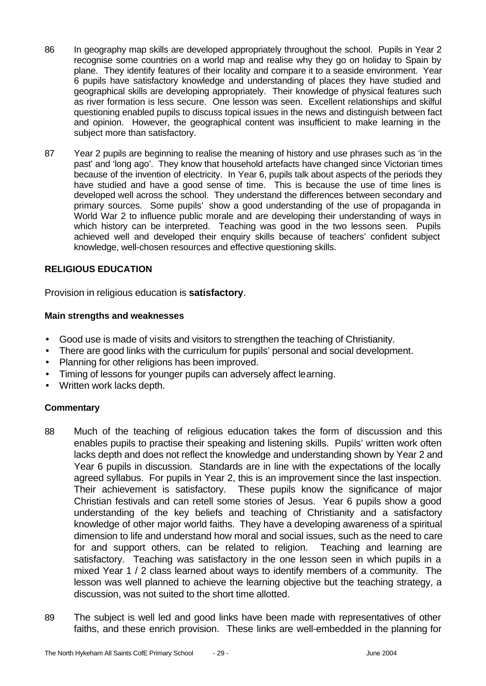- 86 In geography map skills are developed appropriately throughout the school. Pupils in Year 2 recognise some countries on a world map and realise why they go on holiday to Spain by plane. They identify features of their locality and compare it to a seaside environment. Year 6 pupils have satisfactory knowledge and understanding of places they have studied and geographical skills are developing appropriately. Their knowledge of physical features such as river formation is less secure. One lesson was seen. Excellent relationships and skilful questioning enabled pupils to discuss topical issues in the news and distinguish between fact and opinion. However, the geographical content was insufficient to make learning in the subject more than satisfactory.
- 87 Year 2 pupils are beginning to realise the meaning of history and use phrases such as 'in the past' and 'long ago'. They know that household artefacts have changed since Victorian times because of the invention of electricity. In Year 6, pupils talk about aspects of the periods they have studied and have a good sense of time. This is because the use of time lines is developed well across the school. They understand the differences between secondary and primary sources. Some pupils' show a good understanding of the use of propaganda in World War 2 to influence public morale and are developing their understanding of ways in which history can be interpreted. Teaching was good in the two lessons seen. Pupils achieved well and developed their enquiry skills because of teachers' confident subject knowledge, well-chosen resources and effective questioning skills.

### **RELIGIOUS EDUCATION**

Provision in religious education is **satisfactory**.

#### **Main strengths and weaknesses**

- Good use is made of visits and visitors to strengthen the teaching of Christianity.
- There are good links with the curriculum for pupils' personal and social development.
- Planning for other religions has been improved.
- Timing of lessons for younger pupils can adversely affect learning.
- Written work lacks depth.

- 88 Much of the teaching of religious education takes the form of discussion and this enables pupils to practise their speaking and listening skills. Pupils' written work often lacks depth and does not reflect the knowledge and understanding shown by Year 2 and Year 6 pupils in discussion. Standards are in line with the expectations of the locally agreed syllabus. For pupils in Year 2, this is an improvement since the last inspection. Their achievement is satisfactory. These pupils know the significance of major Christian festivals and can retell some stories of Jesus. Year 6 pupils show a good understanding of the key beliefs and teaching of Christianity and a satisfactory knowledge of other major world faiths. They have a developing awareness of a spiritual dimension to life and understand how moral and social issues, such as the need to care for and support others, can be related to religion. Teaching and learning are satisfactory. Teaching was satisfactory in the one lesson seen in which pupils in a mixed Year 1 / 2 class learned about ways to identify members of a community. The lesson was well planned to achieve the learning objective but the teaching strategy, a discussion, was not suited to the short time allotted.
- 89 The subject is well led and good links have been made with representatives of other faiths, and these enrich provision. These links are well-embedded in the planning for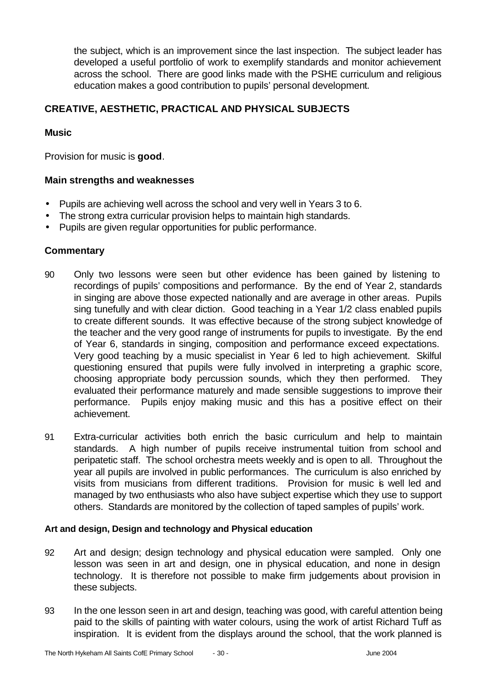the subject, which is an improvement since the last inspection. The subject leader has developed a useful portfolio of work to exemplify standards and monitor achievement across the school. There are good links made with the PSHE curriculum and religious education makes a good contribution to pupils' personal development.

## **CREATIVE, AESTHETIC, PRACTICAL AND PHYSICAL SUBJECTS**

### **Music**

Provision for music is **good**.

## **Main strengths and weaknesses**

- Pupils are achieving well across the school and very well in Years 3 to 6.
- The strong extra curricular provision helps to maintain high standards.
- Pupils are given regular opportunities for public performance.

## **Commentary**

- 90 Only two lessons were seen but other evidence has been gained by listening to recordings of pupils' compositions and performance. By the end of Year 2, standards in singing are above those expected nationally and are average in other areas. Pupils sing tunefully and with clear diction. Good teaching in a Year 1/2 class enabled pupils to create different sounds. It was effective because of the strong subject knowledge of the teacher and the very good range of instruments for pupils to investigate. By the end of Year 6, standards in singing, composition and performance exceed expectations. Very good teaching by a music specialist in Year 6 led to high achievement. Skilful questioning ensured that pupils were fully involved in interpreting a graphic score, choosing appropriate body percussion sounds, which they then performed. They evaluated their performance maturely and made sensible suggestions to improve their performance. Pupils enjoy making music and this has a positive effect on their achievement.
- 91 Extra-curricular activities both enrich the basic curriculum and help to maintain standards. A high number of pupils receive instrumental tuition from school and peripatetic staff. The school orchestra meets weekly and is open to all. Throughout the year all pupils are involved in public performances. The curriculum is also enriched by visits from musicians from different traditions. Provision for music is well led and managed by two enthusiasts who also have subject expertise which they use to support others. Standards are monitored by the collection of taped samples of pupils' work.

### **Art and design, Design and technology and Physical education**

- 92 Art and design; design technology and physical education were sampled. Only one lesson was seen in art and design, one in physical education, and none in design technology. It is therefore not possible to make firm judgements about provision in these subjects.
- 93 In the one lesson seen in art and design, teaching was good, with careful attention being paid to the skills of painting with water colours, using the work of artist Richard Tuff as inspiration. It is evident from the displays around the school, that the work planned is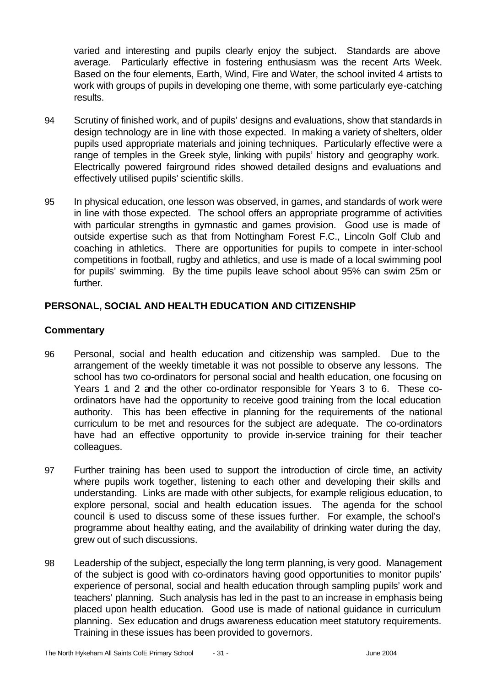varied and interesting and pupils clearly enjoy the subject. Standards are above average. Particularly effective in fostering enthusiasm was the recent Arts Week. Based on the four elements, Earth, Wind, Fire and Water, the school invited 4 artists to work with groups of pupils in developing one theme, with some particularly eye-catching results.

- 94 Scrutiny of finished work, and of pupils' designs and evaluations, show that standards in design technology are in line with those expected. In making a variety of shelters, older pupils used appropriate materials and joining techniques. Particularly effective were a range of temples in the Greek style, linking with pupils' history and geography work. Electrically powered fairground rides showed detailed designs and evaluations and effectively utilised pupils' scientific skills.
- 95 In physical education, one lesson was observed, in games, and standards of work were in line with those expected. The school offers an appropriate programme of activities with particular strengths in gymnastic and games provision. Good use is made of outside expertise such as that from Nottingham Forest F.C., Lincoln Golf Club and coaching in athletics. There are opportunities for pupils to compete in inter-school competitions in football, rugby and athletics, and use is made of a local swimming pool for pupils' swimming. By the time pupils leave school about 95% can swim 25m or further.

## **PERSONAL, SOCIAL AND HEALTH EDUCATION AND CITIZENSHIP**

- 96 Personal, social and health education and citizenship was sampled. Due to the arrangement of the weekly timetable it was not possible to observe any lessons. The school has two co-ordinators for personal social and health education, one focusing on Years 1 and 2 and the other co-ordinator responsible for Years 3 to 6. These coordinators have had the opportunity to receive good training from the local education authority. This has been effective in planning for the requirements of the national curriculum to be met and resources for the subject are adequate. The co-ordinators have had an effective opportunity to provide in-service training for their teacher colleagues.
- 97 Further training has been used to support the introduction of circle time, an activity where pupils work together, listening to each other and developing their skills and understanding. Links are made with other subjects, for example religious education, to explore personal, social and health education issues. The agenda for the school council is used to discuss some of these issues further. For example, the school's programme about healthy eating, and the availability of drinking water during the day, grew out of such discussions.
- 98 Leadership of the subject, especially the long term planning, is very good. Management of the subject is good with co-ordinators having good opportunities to monitor pupils' experience of personal, social and health education through sampling pupils' work and teachers' planning. Such analysis has led in the past to an increase in emphasis being placed upon health education. Good use is made of national guidance in curriculum planning. Sex education and drugs awareness education meet statutory requirements. Training in these issues has been provided to governors.